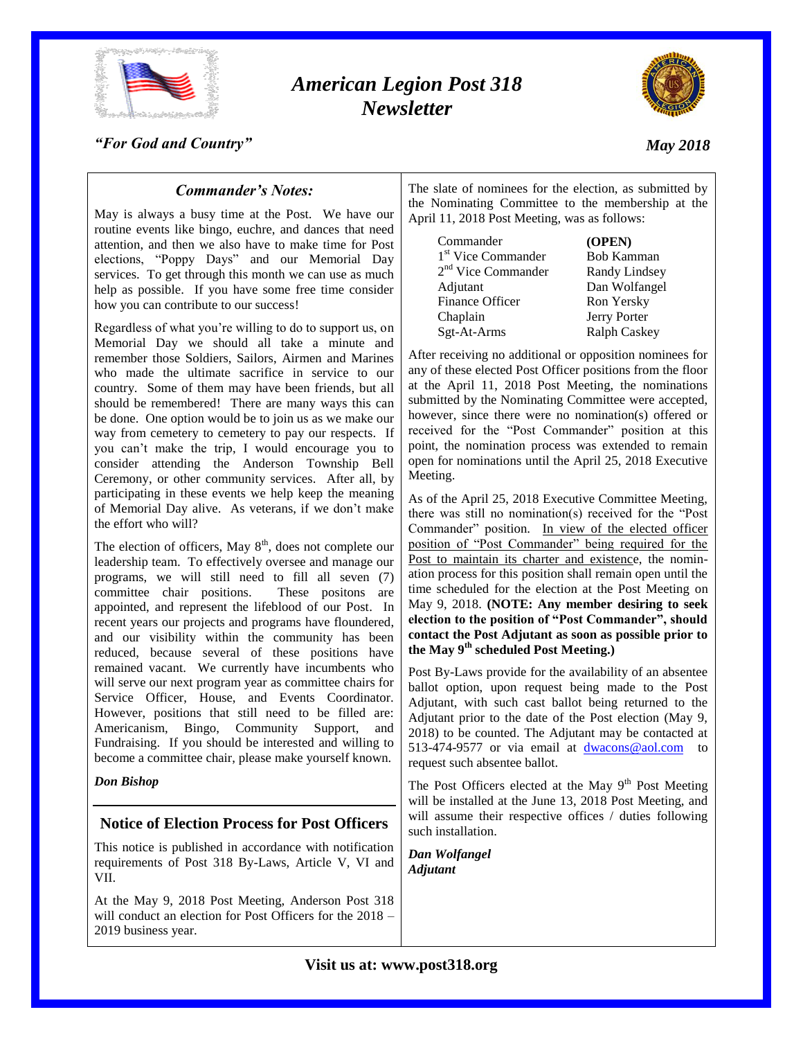

# *American Legion Post 318 Newsletter*



*"For God and Country"*

# *May 2018*

## *Commander's Notes:*

May is always a busy time at the Post. We have our routine events like bingo, euchre, and dances that need attention, and then we also have to make time for Post elections, "Poppy Days" and our Memorial Day services. To get through this month we can use as much help as possible. If you have some free time consider how you can contribute to our success!

Regardless of what you're willing to do to support us, on Memorial Day we should all take a minute and remember those Soldiers, Sailors, Airmen and Marines who made the ultimate sacrifice in service to our country. Some of them may have been friends, but all should be remembered! There are many ways this can be done. One option would be to join us as we make our way from cemetery to cemetery to pay our respects. If you can't make the trip, I would encourage you to consider attending the Anderson Township Bell Ceremony, or other community services. After all, by participating in these events we help keep the meaning of Memorial Day alive. As veterans, if we don't make the effort who will?

The election of officers, May  $8<sup>th</sup>$ , does not complete our leadership team. To effectively oversee and manage our programs, we will still need to fill all seven (7) committee chair positions. These positons are appointed, and represent the lifeblood of our Post. In recent years our projects and programs have floundered, and our visibility within the community has been reduced, because several of these positions have remained vacant. We currently have incumbents who will serve our next program year as committee chairs for Service Officer, House, and Events Coordinator. However, positions that still need to be filled are: Americanism, Bingo, Community Support, and Fundraising. If you should be interested and willing to become a committee chair, please make yourself known.

*Don Bishop*

### **Notice of Election Process for Post Officers**

This notice is published in accordance with notification requirements of Post 318 By-Laws, Article V, VI and VII.

At the May 9, 2018 Post Meeting, Anderson Post 318 will conduct an election for Post Officers for the 2018 – 2019 business year.

The slate of nominees for the election, as submitted by the Nominating Committee to the membership at the April 11, 2018 Post Meeting, was as follows:

Commander **(OPEN)** 1<sup>st</sup> Vice Commander Bob Kamman 2<sup>nd</sup> Vice Commander Randy Lindsey Adjutant Dan Wolfangel Finance Officer Ron Yersky Chaplain Jerry Porter Sgt-At-Arms Ralph Caskey

After receiving no additional or opposition nominees for any of these elected Post Officer positions from the floor at the April 11, 2018 Post Meeting, the nominations submitted by the Nominating Committee were accepted, however, since there were no nomination(s) offered or received for the "Post Commander" position at this point, the nomination process was extended to remain open for nominations until the April 25, 2018 Executive Meeting.

As of the April 25, 2018 Executive Committee Meeting, there was still no nomination(s) received for the "Post Commander" position. In view of the elected officer position of "Post Commander" being required for the Post to maintain its charter and existence, the nomination process for this position shall remain open until the time scheduled for the election at the Post Meeting on May 9, 2018. **(NOTE: Any member desiring to seek election to the position of "Post Commander", should contact the Post Adjutant as soon as possible prior to the May 9th scheduled Post Meeting.)**

Post By-Laws provide for the availability of an absentee ballot option, upon request being made to the Post Adjutant, with such cast ballot being returned to the Adjutant prior to the date of the Post election (May 9, 2018) to be counted. The Adjutant may be contacted at 513-474-9577 or via email at [dwacons@aol.com](mailto:dwacons@aol.com) to request such absentee ballot.

The Post Officers elected at the May  $9<sup>th</sup>$  Post Meeting will be installed at the June 13, 2018 Post Meeting, and will assume their respective offices / duties following such installation.

*Dan Wolfangel Adjutant*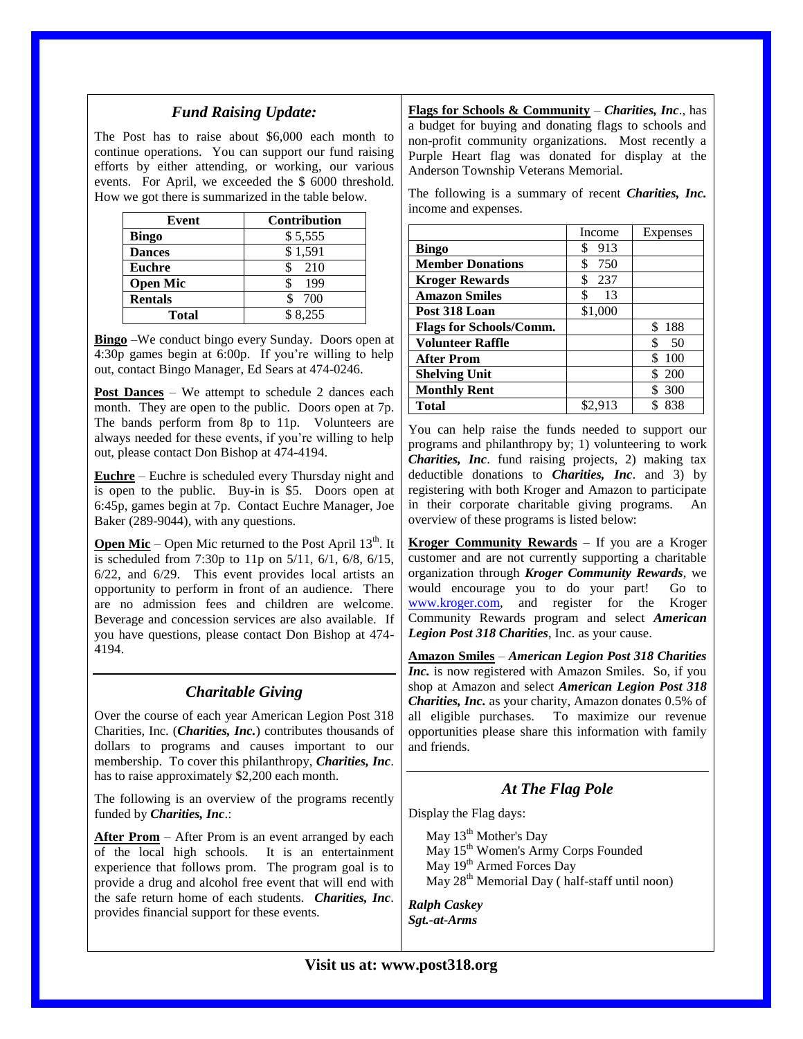### *Fund Raising Update:*

The Post has to raise about \$6,000 each month to continue operations. You can support our fund raising efforts by either attending, or working, our various events. For April, we exceeded the \$ 6000 threshold. How we got there is summarized in the table below.

| Event           | <b>Contribution</b> |
|-----------------|---------------------|
| <b>Bingo</b>    | \$5,555             |
| <b>Dances</b>   | \$1,591             |
| <b>Euchre</b>   | 210                 |
| <b>Open Mic</b> | 199                 |
| <b>Rentals</b>  | 700                 |
| Total           | \$8,255             |

**Bingo** –We conduct bingo every Sunday. Doors open at 4:30p games begin at 6:00p. If you're willing to help out, contact Bingo Manager, Ed Sears at 474-0246.

**Post Dances** – We attempt to schedule 2 dances each month. They are open to the public. Doors open at 7p. The bands perform from 8p to 11p. Volunteers are always needed for these events, if you're willing to help out, please contact Don Bishop at 474-4194.

**Euchre** – Euchre is scheduled every Thursday night and is open to the public. Buy-in is \$5. Doors open at 6:45p, games begin at 7p. Contact Euchre Manager, Joe Baker (289-9044), with any questions.

**Open Mic** – Open Mic returned to the Post April 13<sup>th</sup>. It is scheduled from 7:30p to 11p on 5/11, 6/1, 6/8, 6/15, 6/22, and 6/29. This event provides local artists an opportunity to perform in front of an audience. There are no admission fees and children are welcome. Beverage and concession services are also available. If you have questions, please contact Don Bishop at 474- 4194.

#### *Charitable Giving* Over the course of each year American Legion Post 318 Charities, Inc. (*Charities, Inc.*) contributes thousands of dollars to programs and causes important to our membership. To cover this philanthropy, *Charities, Inc*. has to raise approximately \$2,200 each month. The following is an overview of the programs recently funded by *Charities, Inc*.: **After Prom** – After Prom is an event arranged by each and friends.

of the local high schools. It is an entertainment experience that follows prom. The program goal is to provide a drug and alcohol free event that will end with the safe return home of each students. *Charities, Inc*. provides financial support for these events.

**Flags for Schools & Community** – *Charities, Inc*., has a budget for buying and donating flags to schools and non-profit community organizations. Most recently a Purple Heart flag was donated for display at the Anderson Township Veterans Memorial.

The following is a summary of recent *Charities, Inc.* income and expenses.

|                                | Income    | Expenses   |
|--------------------------------|-----------|------------|
| <b>Bingo</b>                   | 913<br>S  |            |
| <b>Member Donations</b>        | \$<br>750 |            |
| <b>Kroger Rewards</b>          | \$<br>237 |            |
| <b>Amazon Smiles</b>           | \$<br>13  |            |
| Post 318 Loan                  | \$1,000   |            |
| <b>Flags for Schools/Comm.</b> |           | 188        |
| <b>Volunteer Raffle</b>        |           | .50        |
| <b>After Prom</b>              |           | 100        |
| <b>Shelving Unit</b>           |           | <b>200</b> |
| <b>Monthly Rent</b>            |           | 300        |
| <b>Total</b>                   | \$2.913   | 838        |

You can help raise the funds needed to support our programs and philanthropy by; 1) volunteering to work *Charities, Inc*. fund raising projects, 2) making tax deductible donations to *Charities, Inc*. and 3) by registering with both Kroger and Amazon to participate in their corporate charitable giving programs. An overview of these programs is listed below:

**Kroger Community Rewards** – If you are a Kroger customer and are not currently supporting a charitable organization through *Kroger Community Rewards*, we would encourage you to do your part! Go to [www.kroger.com,](http://www.kroger.com/) and register for the Kroger Community Rewards program and select *American Legion Post 318 Charities*, Inc. as your cause.

**Amazon Smiles** – *American Legion Post 318 Charities Inc.* is now registered with Amazon Smiles. So, if you shop at Amazon and select *American Legion Post 318 Charities, Inc.* as your charity, Amazon donates 0.5% of all eligible purchases. To maximize our revenue opportunities please share this information with family

## *At The Flag Pole*

Display the Flag days:

May 13<sup>th</sup> Mother's Day May 15<sup>th</sup> Women's Army Corps Founded May 19<sup>th</sup> Armed Forces Day May 28<sup>th</sup> Memorial Day ( half-staff until noon)

*Ralph Caskey Sgt.-at-Arms*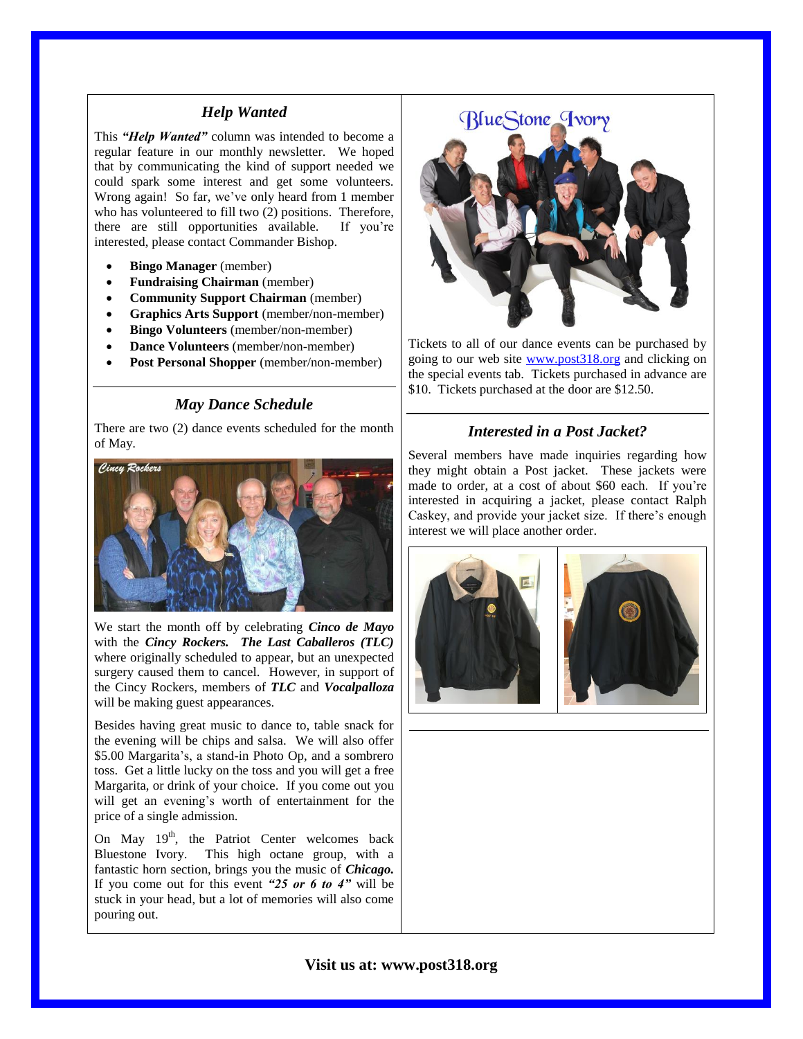#### *Help Wanted*

This *"Help Wanted"* column was intended to become a regular feature in our monthly newsletter. We hoped that by communicating the kind of support needed we could spark some interest and get some volunteers. Wrong again! So far, we've only heard from 1 member who has volunteered to fill two (2) positions. Therefore, there are still opportunities available. If you're interested, please contact Commander Bishop.

- **Bingo Manager** (member)
- **Fundraising Chairman** (member)
- **Community Support Chairman** (member)
- **Graphics Arts Support** (member/non-member)
- **Bingo Volunteers** (member/non-member)
- **Dance Volunteers** (member/non-member)
- **Post Personal Shopper** (member/non-member)

## *May Dance Schedule*

There are two (2) dance events scheduled for the month of May.



We start the month off by celebrating *Cinco de Mayo* with the *Cincy Rockers. The Last Caballeros (TLC)* where originally scheduled to appear, but an unexpected surgery caused them to cancel. However, in support of the Cincy Rockers, members of *TLC* and *Vocalpalloza* will be making guest appearances.

Besides having great music to dance to, table snack for the evening will be chips and salsa. We will also offer \$5.00 Margarita's, a stand-in Photo Op, and a sombrero toss. Get a little lucky on the toss and you will get a free Margarita, or drink of your choice. If you come out you will get an evening's worth of entertainment for the price of a single admission.

On May  $19<sup>th</sup>$ , the Patriot Center welcomes back Bluestone Ivory. This high octane group, with a fantastic horn section, brings you the music of *Chicago.*  If you come out for this event *"25 or 6 to 4"* will be stuck in your head, but a lot of memories will also come pouring out.



Tickets to all of our dance events can be purchased by going to our web site [www.post318.org](http://www.post318.org/) and clicking on the special events tab. Tickets purchased in advance are \$10. Tickets purchased at the door are \$12.50.

#### *Interested in a Post Jacket?*

Several members have made inquiries regarding how they might obtain a Post jacket. These jackets were made to order, at a cost of about \$60 each. If you're interested in acquiring a jacket, please contact Ralph Caskey, and provide your jacket size. If there's enough interest we will place another order.



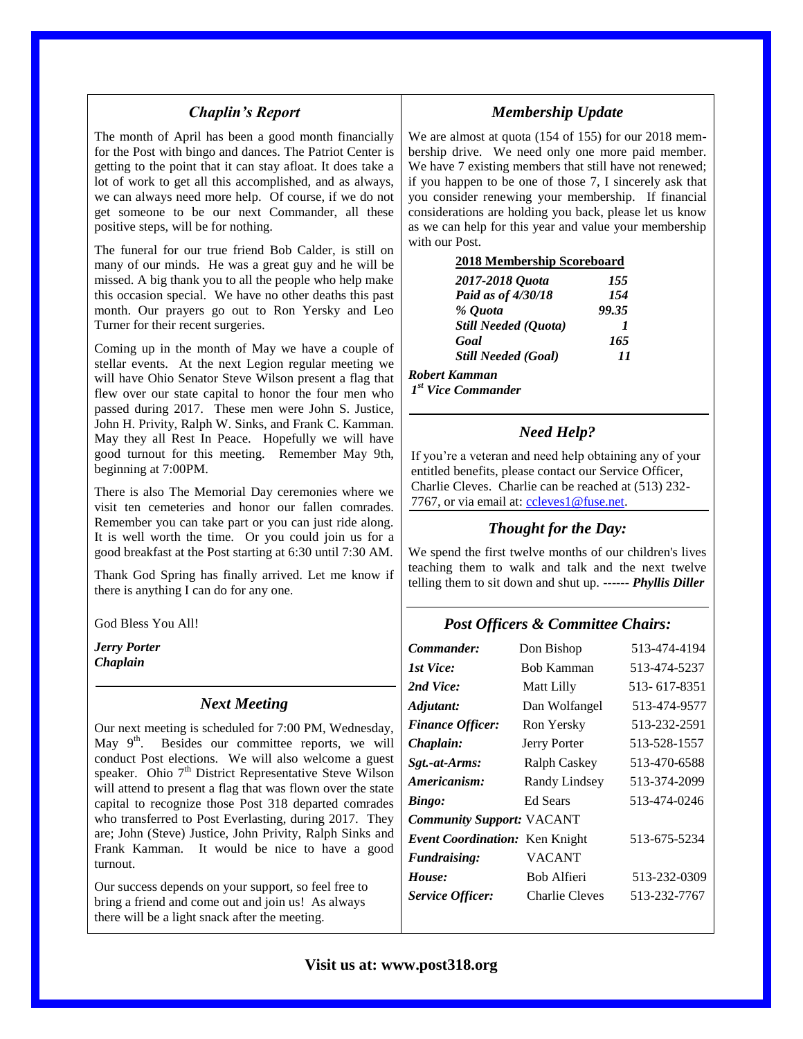#### *Chaplin's Report*

The month of April has been a good month financially for the Post with bingo and dances. The Patriot Center is getting to the point that it can stay afloat. It does take a lot of work to get all this accomplished, and as always, we can always need more help. Of course, if we do not get someone to be our next Commander, all these positive steps, will be for nothing.

The funeral for our true friend Bob Calder, is still on many of our minds. He was a great guy and he will be missed. A big thank you to all the people who help make this occasion special. We have no other deaths this past month. Our prayers go out to Ron Yersky and Leo Turner for their recent surgeries.

Coming up in the month of May we have a couple of stellar events. At the next Legion regular meeting we will have Ohio Senator Steve Wilson present a flag that flew over our state capital to honor the four men who passed during 2017. These men were John S. Justice, John H. Privity, Ralph W. Sinks, and Frank C. Kamman. May they all Rest In Peace. Hopefully we will have good turnout for this meeting. Remember May 9th, beginning at 7:00PM.

There is also The Memorial Day ceremonies where we visit ten cemeteries and honor our fallen comrades. Remember you can take part or you can just ride along. It is well worth the time. Or you could join us for a good breakfast at the Post starting at 6:30 until 7:30 AM.

Thank God Spring has finally arrived. Let me know if there is anything I can do for any one.

God Bless You All!

*Jerry Porter Chaplain*

#### *Next Meeting*

Our next meeting is scheduled for 7:00 PM, Wednesday, May  $9^{\text{th}}$ . Besides our committee reports, we will conduct Post elections. We will also welcome a guest speaker. Ohio 7<sup>th</sup> District Representative Steve Wilson will attend to present a flag that was flown over the state capital to recognize those Post 318 departed comrades who transferred to Post Everlasting, during 2017. They are; John (Steve) Justice, John Privity, Ralph Sinks and Frank Kamman. It would be nice to have a good turnout.

Our success depends on your support, so feel free to bring a friend and come out and join us! As always there will be a light snack after the meeting.

### *Membership Update*

We are almost at quota (154 of 155) for our 2018 membership drive. We need only one more paid member. We have 7 existing members that still have not renewed; if you happen to be one of those 7, I sincerely ask that you consider renewing your membership. If financial considerations are holding you back, please let us know as we can help for this year and value your membership with our Post.

| 2018 Membership Scoreboard             |     |
|----------------------------------------|-----|
| 2017-2018 Quota                        | 155 |
| $\boldsymbol{p}_{aid}$ as of $A/20/18$ | 151 |

| Paid as of 4/30/18          | 154      |
|-----------------------------|----------|
| % Ouota                     | 99.35    |
| <b>Still Needed (Quota)</b> | $\prime$ |
| Goal                        | 165      |
| <b>Still Needed (Goal)</b>  | 11       |
|                             |          |

*Robert Kamman 1 st Vice Commander*

#### *Need Help?*

If you're a veteran and need help obtaining any of your entitled benefits, please contact our Service Officer, Charlie Cleves. Charlie can be reached at (513) 232 7767, or via email at: [ccleves1@fuse.net.](mailto:ccleves1@fuse.net)

### *Thought for the Day:*

We spend the first twelve months of our children's lives teaching them to walk and talk and the next twelve telling them to sit down and shut up. ------ *Phyllis Diller*

#### *Post Officers & Committee Chairs:*

| Commander:                       | Don Bishop        | 513-474-4194 |
|----------------------------------|-------------------|--------------|
| 1st Vice:                        | <b>Bob Kamman</b> | 513-474-5237 |
| 2nd Vice:                        | Matt Lilly        | 513-617-8351 |
| Adjutant:                        | Dan Wolfangel     | 513-474-9577 |
| <b>Finance Officer:</b>          | Ron Yersky        | 513-232-2591 |
| Chaplain:                        | Jerry Porter      | 513-528-1557 |
| Sgt.-at-Arms:                    | Ralph Caskey      | 513-470-6588 |
| Americanism:                     | Randy Lindsey     | 513-374-2099 |
| Bingo:                           | Ed Sears          | 513-474-0246 |
| <b>Community Support: VACANT</b> |                   |              |
| Event Coordination: Ken Knight   |                   | 513-675-5234 |
| <i>Fundraising:</i>              | <b>VACANT</b>     |              |
| House:                           | Bob Alfieri       | 513-232-0309 |
| <b>Service Officer:</b>          | Charlie Cleves    | 513-232-7767 |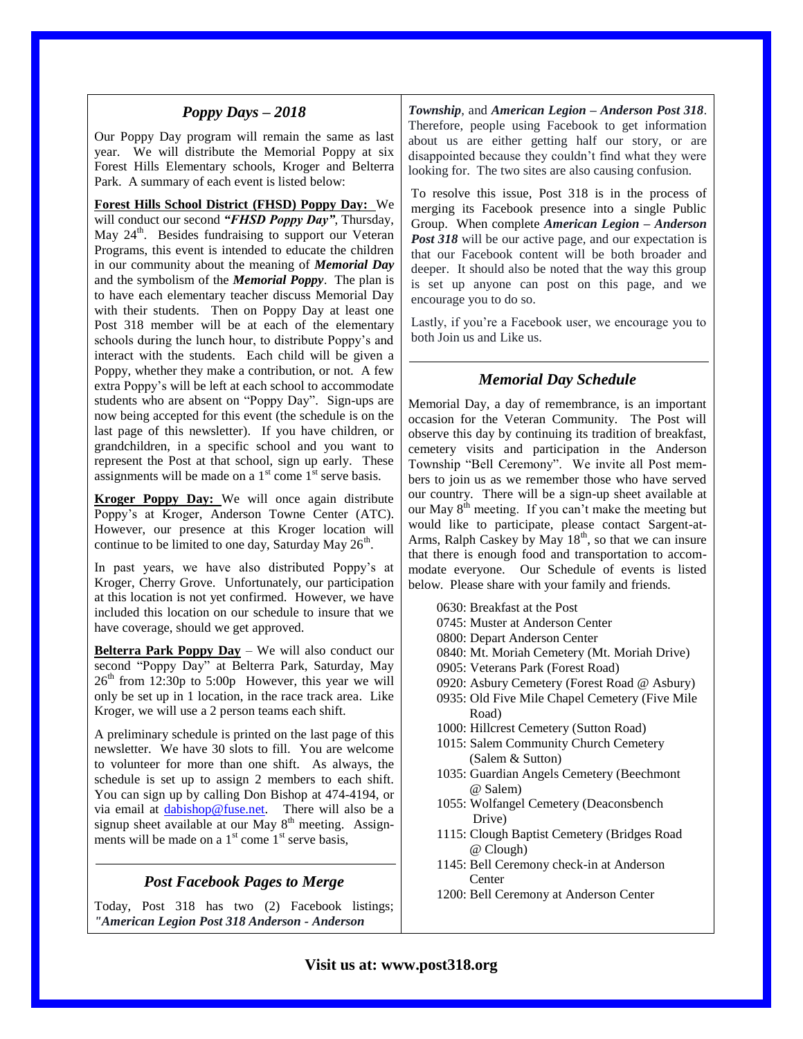#### *Poppy Days – 2018*

Our Poppy Day program will remain the same as last year. We will distribute the Memorial Poppy at six Forest Hills Elementary schools, Kroger and Belterra Park. A summary of each event is listed below:

**Forest Hills School District (FHSD) Poppy Day:** We will conduct our second *"FHSD Poppy Day"*, Thursday, May 24<sup>th</sup>. Besides fundraising to support our Veteran Programs, this event is intended to educate the children in our community about the meaning of *Memorial Day* and the symbolism of the *Memorial Poppy*. The plan is to have each elementary teacher discuss Memorial Day with their students. Then on Poppy Day at least one Post 318 member will be at each of the elementary schools during the lunch hour, to distribute Poppy's and interact with the students. Each child will be given a Poppy, whether they make a contribution, or not. A few extra Poppy's will be left at each school to accommodate students who are absent on "Poppy Day". Sign-ups are now being accepted for this event (the schedule is on the last page of this newsletter). If you have children, or grandchildren, in a specific school and you want to represent the Post at that school, sign up early. These assignments will be made on a  $1<sup>st</sup>$  come  $1<sup>st</sup>$  serve basis.

**Kroger Poppy Day:** We will once again distribute Poppy's at Kroger, Anderson Towne Center (ATC). However, our presence at this Kroger location will continue to be limited to one day, Saturday May  $26<sup>th</sup>$ .

In past years, we have also distributed Poppy's at Kroger, Cherry Grove. Unfortunately, our participation at this location is not yet confirmed. However, we have included this location on our schedule to insure that we have coverage, should we get approved.

**Belterra Park Poppy Day** – We will also conduct our second "Poppy Day" at Belterra Park, Saturday, May 26 th from 12:30p to 5:00p However, this year we will only be set up in 1 location, in the race track area. Like Kroger, we will use a 2 person teams each shift.

A preliminary schedule is printed on the last page of this newsletter. We have 30 slots to fill. You are welcome to volunteer for more than one shift. As always, the schedule is set up to assign 2 members to each shift. You can sign up by calling Don Bishop at 474-4194, or via email at [dabishop@fuse.net.](mailto:dabishop@fuse.net) There will also be a signup sheet available at our May  $8<sup>th</sup>$  meeting. Assignments will be made on a  $1<sup>st</sup>$  come  $1<sup>st</sup>$  serve basis,

### *Post Facebook Pages to Merge*

Today, Post 318 has two (2) Facebook listings; *"American Legion Post 318 Anderson - Anderson* 

*Township*, and *American Legion – Anderson Post 318*. Therefore, people using Facebook to get information about us are either getting half our story, or are disappointed because they couldn't find what they were looking for. The two sites are also causing confusion.

To resolve this issue, Post 318 is in the process of merging its Facebook presence into a single Public Group. When complete *American Legion – Anderson Post 318* will be our active page, and our expectation is that our Facebook content will be both broader and deeper. It should also be noted that the way this group is set up anyone can post on this page, and we encourage you to do so.

Lastly, if you're a Facebook user, we encourage you to both Join us and Like us.

### *Memorial Day Schedule*

Memorial Day, a day of remembrance, is an important occasion for the Veteran Community. The Post will observe this day by continuing its tradition of breakfast, cemetery visits and participation in the Anderson Township "Bell Ceremony". We invite all Post members to join us as we remember those who have served our country. There will be a sign-up sheet available at our May  $8<sup>th</sup>$  meeting. If you can't make the meeting but would like to participate, please contact Sargent-at-Arms, Ralph Caskey by May  $18<sup>th</sup>$ , so that we can insure that there is enough food and transportation to accommodate everyone. Our Schedule of events is listed below. Please share with your family and friends.

- 0630: Breakfast at the Post
- 0745: Muster at Anderson Center
- 0800: Depart Anderson Center
- 0840: Mt. Moriah Cemetery (Mt. Moriah Drive)
- 0905: Veterans Park (Forest Road)
- 0920: Asbury Cemetery (Forest Road @ Asbury)
- 0935: Old Five Mile Chapel Cemetery (Five Mile Road)
- 1000: Hillcrest Cemetery (Sutton Road)
- 1015: Salem Community Church Cemetery (Salem & Sutton)
- 1035: Guardian Angels Cemetery (Beechmont @ Salem)
- 1055: Wolfangel Cemetery (Deaconsbench Drive)
- 1115: Clough Baptist Cemetery (Bridges Road @ Clough)
- 1145: Bell Ceremony check-in at Anderson **Center**
- 1200: Bell Ceremony at Anderson Center